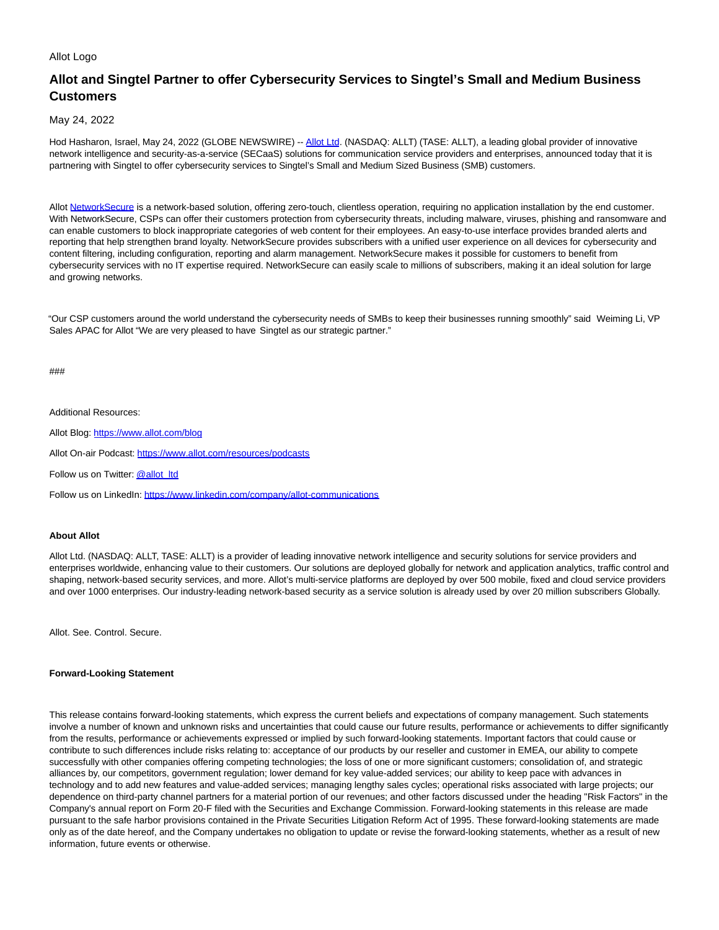## Allot Logo

## **Allot and Singtel Partner to offer Cybersecurity Services to Singtel's Small and Medium Business Customers**

May 24, 2022

Hod Hasharon, Israel, May 24, 2022 (GLOBE NEWSWIRE) -- [Allot Ltd.](https://www.globenewswire.com/Tracker?data=teJCBbQa_ZVxNMfu8bvHna66UNudwTr5w9WYwfwhqUaNq92T-_oDVa756cw42_L3tKHoH96vo-rfNI_bYzBM1Q==) (NASDAQ: ALLT) (TASE: ALLT), a leading global provider of innovative network intelligence and security-as-a-service (SECaaS) solutions for communication service providers and enterprises, announced today that it is partnering with Singtel to offer cybersecurity services to Singtel's Small and Medium Sized Business (SMB) customers.

Allot [NetworkSecure i](https://www.globenewswire.com/Tracker?data=qRPbl-bwDYZPfEoxnouqa72Enb-5XkLw9rZ3nuRjzeir3-4bcj8H1crTZG9WL86z0nJ462bGmttXLZ9wKByY_v7m1vhyhMTQ9gcFhOVZsDrlx_ZVXjGUeO2yDyCOuctbBxsbx089LmbSaoy0oBs89ZhpnrES7GqqM1PvDDy32mhrwFTAoeLax5TTC3zal5vi)s a network-based solution, offering zero-touch, clientless operation, requiring no application installation by the end customer. With NetworkSecure, CSPs can offer their customers protection from cybersecurity threats, including malware, viruses, phishing and ransomware and can enable customers to block inappropriate categories of web content for their employees. An easy-to-use interface provides branded alerts and reporting that help strengthen brand loyalty. NetworkSecure provides subscribers with a unified user experience on all devices for cybersecurity and content filtering, including configuration, reporting and alarm management. NetworkSecure makes it possible for customers to benefit from cybersecurity services with no IT expertise required. NetworkSecure can easily scale to millions of subscribers, making it an ideal solution for large and growing networks.

"Our CSP customers around the world understand the cybersecurity needs of SMBs to keep their businesses running smoothly" said Weiming Li, VP Sales APAC for Allot "We are very pleased to have Singtel as our strategic partner."

###

Additional Resources:

Allot Blog: [https://www.allot.com/blog](https://www.globenewswire.com/Tracker?data=3TmesHOgcxxw3ySz7vKrZ8aF12AGyhoqqT378BdfRu6kTrD8qIfAvSEZl8yMfhP3eby8Epr9eX86aeRYWeIHCYmXTNX13anEsNL8iJgqlfjm7fqowq-dUiFGAUHJyvDMdksXvkhmdEOK_AIFqT_2ytzfJigJFPZgI38uJ2w0s3TUwXUTsOGTR5IMyISyYXt27mPhbiLfry2JsKg67KH3GdxaN6HX8ylV5h6lttP_Qnq31l67TUf3PB74Ya_fNLcGTl1YnS3Vaxo5AsCAajD_Iw==)

Allot On-air Podcast: [https://www.allot.com/resources/podcasts](https://www.globenewswire.com/Tracker?data=3TmesHOgcxxw3ySz7vKrZ8aF12AGyhoqqT378BdfRu5-hBYg_Effs5iUVqqCs_cWh33ayZKfA7ACQYqxz36AXk9gqnU6n_zBx2O1XuTkNHr7NMJPiKDa0toESuwdthnO5iiekwndyryGWcDtNs31SYQT1K6gzNBvd-rR7tpBgdk9w0heBDuCcNcorcaBmyJQwt7tYAnUsT6X5eq1pn3HqLmY8YFoh7UPUjOua9aIIzSzmOayBf6xoFFOhQP3B9MVF5MryHvnyjTA5kyhpDPGLwUYRBjTQv5a-3q0ZTSuwWTcQSlwVtuG2LBJpu8ra7EdBa0lvroQdJ5Y8p7mqFU2nHSvXwqkahFamqhniAmDkiM=)

Follow us on Twitter[: @allot\\_ltd](https://www.globenewswire.com/Tracker?data=xs-5XLH1M6l7LUU_greD4F4MKwgDW_bSJEqAIjFvYEIpFkpqOTbSHWpvR70bd9Aryz6w_ySLUZbRFRBKLMCmtYEwHiLtyJtwzhMu4jNyiwkyo9J2IKkXVvANERYQGmL2O0xY9JHjR2wpMiHdp-wNX4tre4Sy0yfrtKgvXfW2b-CYKUyM6c3HEPIB-R33e2u4xW_itoPrCW0IGcDR93QWUgJYdR8JGKBtN4BiXG-pIoU=)

Follow us on LinkedIn: [https://www.linkedin.com/company/allot-communications](https://www.globenewswire.com/Tracker?data=3TmesHOgcxxw3ySz7vKrZ6psMhQGCp291Kl99ISzZGUnFQl5jZIDRGc17RahJkNQ7SZyfUdjM5Knf97UpY1uwg4952ysi4SIuYYdXO9HyOZvEkDAdpchkMFu0ZxQ58YltTIdO75GMo0mlbsrqI4H6XcsGPSE8XaVLbJD7SvDKWTxmcA3HHlDE9vrx4snrMu_5s0UisZvCpXTzzRH_DOp7cOGZ_Kzqbi37ibY2nEUyrnjUtvflC4mdEQL6xF163xNiDCH2GAyKwlzPxTIruSaul0p1fmQtPN1wRX_8iWcuzoEcYH9HmcC8kRBbSGmUz3Ct2WrftO4g0uWWWsK_subSXKdEUN-9lrh5qKRcJ8TuDpKI5bYwHnj2ipZnGqApPIfWD8rbOcoe2jJuzSFLTEi0V6WJnuoMA1C2IF9BXDUZOI=)

## **About Allot**

Allot Ltd. (NASDAQ: ALLT, TASE: ALLT) is a provider of leading innovative network intelligence and security solutions for service providers and enterprises worldwide, enhancing value to their customers. Our solutions are deployed globally for network and application analytics, traffic control and shaping, network-based security services, and more. Allot's multi-service platforms are deployed by over 500 mobile, fixed and cloud service providers and over 1000 enterprises. Our industry-leading network-based security as a service solution is already used by over 20 million subscribers Globally.

Allot. See. Control. Secure.

## **Forward-Looking Statement**

This release contains forward-looking statements, which express the current beliefs and expectations of company management. Such statements involve a number of known and unknown risks and uncertainties that could cause our future results, performance or achievements to differ significantly from the results, performance or achievements expressed or implied by such forward-looking statements. Important factors that could cause or contribute to such differences include risks relating to: acceptance of our products by our reseller and customer in EMEA, our ability to compete successfully with other companies offering competing technologies; the loss of one or more significant customers; consolidation of, and strategic alliances by, our competitors, government regulation; lower demand for key value-added services; our ability to keep pace with advances in technology and to add new features and value-added services; managing lengthy sales cycles; operational risks associated with large projects; our dependence on third-party channel partners for a material portion of our revenues; and other factors discussed under the heading "Risk Factors" in the Company's annual report on Form 20-F filed with the Securities and Exchange Commission. Forward-looking statements in this release are made pursuant to the safe harbor provisions contained in the Private Securities Litigation Reform Act of 1995. These forward-looking statements are made only as of the date hereof, and the Company undertakes no obligation to update or revise the forward-looking statements, whether as a result of new information, future events or otherwise.